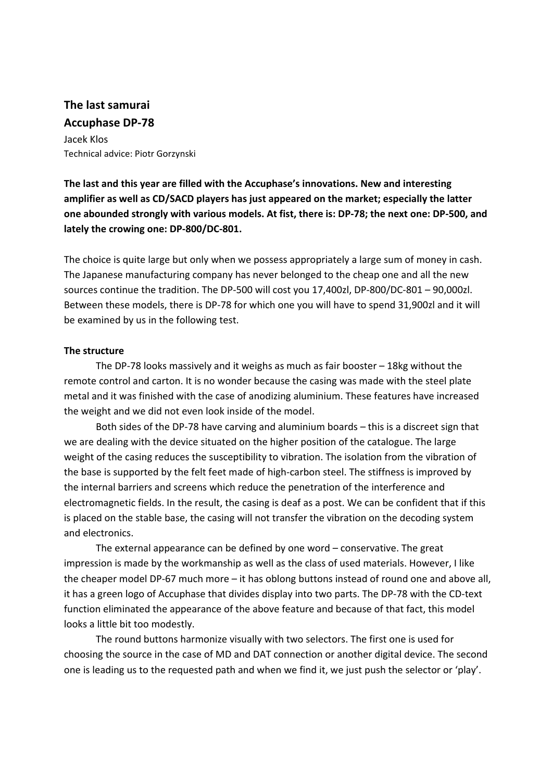# **The last samurai Accuphase DP‐78**

Jacek Klos Technical advice: Piotr Gorzynski

**The last and this year are filled with the Accuphase's innovations. New and interesting amplifier as well as CD/SACD players has just appeared on the market; especially the latter** one abounded strongly with various models. At fist, there is: DP-78; the next one: DP-500, and **lately the crowing one: DP‐800/DC‐801.** 

The choice is quite large but only when we possess appropriately a large sum of money in cash. The Japanese manufacturing company has never belonged to the cheap one and all the new sources continue the tradition. The DP‐500 will cost you 17,400zl, DP‐800/DC‐801 – 90,000zl. Between these models, there is DP‐78 for which one you will have to spend 31,900zl and it will be examined by us in the following test.

## **The structure**

The DP-78 looks massively and it weighs as much as fair booster  $-18$ kg without the remote control and carton. It is no wonder because the casing was made with the steel plate metal and it was finished with the case of anodizing aluminium. These features have increased the weight and we did not even look inside of the model.

 Both sides of the DP‐78 have carving and aluminium boards – this is a discreet sign that we are dealing with the device situated on the higher position of the catalogue. The large weight of the casing reduces the susceptibility to vibration. The isolation from the vibration of the base is supported by the felt feet made of high‐carbon steel. The stiffness is improved by the internal barriers and screens which reduce the penetration of the interference and electromagnetic fields. In the result, the casing is deaf as a post. We can be confident that if this is placed on the stable base, the casing will not transfer the vibration on the decoding system and electronics.

The external appearance can be defined by one word – conservative. The great impression is made by the workmanship as well as the class of used materials. However, I like the cheaper model DP‐67 much more – it has oblong buttons instead of round one and above all, it has a green logo of Accuphase that divides display into two parts. The DP‐78 with the CD‐text function eliminated the appearance of the above feature and because of that fact, this model looks a little bit too modestly.

The round buttons harmonize visually with two selectors. The first one is used for choosing the source in the case of MD and DAT connection or another digital device. The second one is leading us to the requested path and when we find it, we just push the selector or 'play'.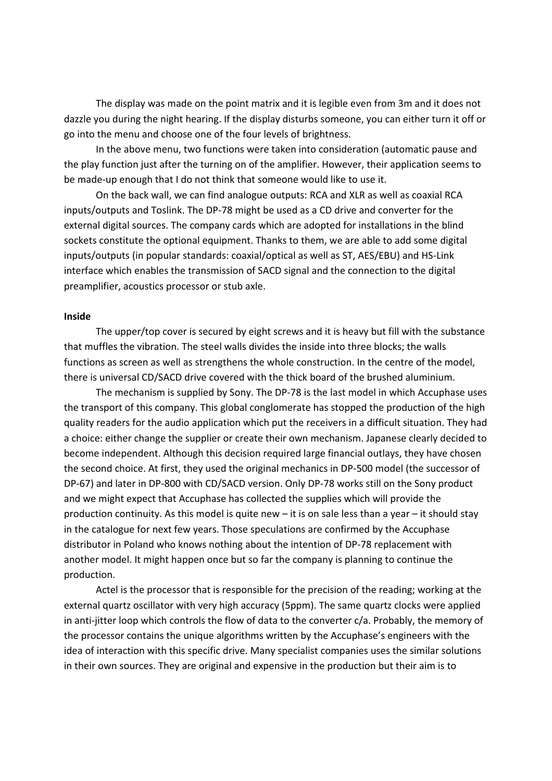The display was made on the point matrix and it is legible even from 3m and it does not dazzle you during the night hearing. If the display disturbs someone, you can either turn it off or go into the menu and choose one of the four levels of brightness.

In the above menu, two functions were taken into consideration (automatic pause and the play function just after the turning on of the amplifier. However, their application seems to be made-up enough that I do not think that someone would like to use it.

On the back wall, we can find analogue outputs: RCA and XLR as well as coaxial RCA inputs/outputs and Toslink. The DP‐78 might be used as a CD drive and converter for the external digital sources. The company cards which are adopted for installations in the blind sockets constitute the optional equipment. Thanks to them, we are able to add some digital inputs/outputs (in popular standards: coaxial/optical as well as ST, AES/EBU) and HS‐Link interface which enables the transmission of SACD signal and the connection to the digital preamplifier, acoustics processor or stub axle.

#### **Inside**

The upper/top cover is secured by eight screws and it is heavy but fill with the substance that muffles the vibration. The steel walls divides the inside into three blocks; the walls functions as screen as well as strengthens the whole construction. In the centre of the model, there is universal CD/SACD drive covered with the thick board of the brushed aluminium.

The mechanism is supplied by Sony. The DP-78 is the last model in which Accuphase uses the transport of this company. This global conglomerate has stopped the production of the high quality readers for the audio application which put the receivers in a difficult situation. They had a choice: either change the supplier or create their own mechanism. Japanese clearly decided to become independent. Although this decision required large financial outlays, they have chosen the second choice. At first, they used the original mechanics in DP‐500 model (the successor of DP‐67) and later in DP‐800 with CD/SACD version. Only DP‐78 works still on the Sony product and we might expect that Accuphase has collected the supplies which will provide the production continuity. As this model is quite new – it is on sale less than a year – it should stay in the catalogue for next few years. Those speculations are confirmed by the Accuphase distributor in Poland who knows nothing about the intention of DP‐78 replacement with another model. It might happen once but so far the company is planning to continue the production.

Actel is the processor that is responsible for the precision of the reading; working at the external quartz oscillator with very high accuracy (5ppm). The same quartz clocks were applied in anti-jitter loop which controls the flow of data to the converter c/a. Probably, the memory of the processor contains the unique algorithms written by the Accuphase's engineers with the idea of interaction with this specific drive. Many specialist companies uses the similar solutions in their own sources. They are original and expensive in the production but their aim is to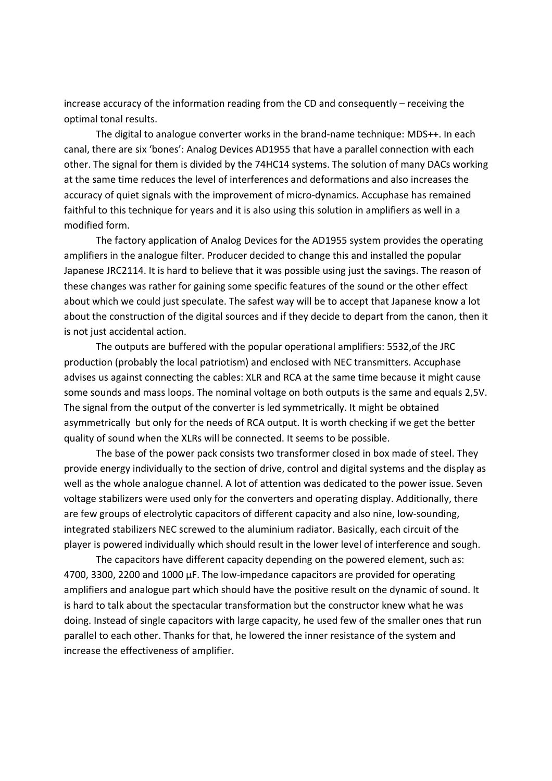increase accuracy of the information reading from the CD and consequently – receiving the optimal tonal results.

The digital to analogue converter works in the brand‐name technique: MDS++. In each canal, there are six 'bones': Analog Devices AD1955 that have a parallel connection with each other. The signal for them is divided by the 74HC14 systems. The solution of many DACs working at the same time reduces the level of interferences and deformations and also increases the accuracy of quiet signals with the improvement of micro-dynamics. Accuphase has remained faithful to this technique for years and it is also using this solution in amplifiers as well in a modified form.

The factory application of Analog Devices for the AD1955 system provides the operating amplifiers in the analogue filter. Producer decided to change this and installed the popular Japanese JRC2114. It is hard to believe that it was possible using just the savings. The reason of these changes was rather for gaining some specific features of the sound or the other effect about which we could just speculate. The safest way will be to accept that Japanese know a lot about the construction of the digital sources and if they decide to depart from the canon, then it is not just accidental action.

The outputs are buffered with the popular operational amplifiers: 5532,of the JRC production (probably the local patriotism) and enclosed with NEC transmitters. Accuphase advises us against connecting the cables: XLR and RCA at the same time because it might cause some sounds and mass loops. The nominal voltage on both outputs is the same and equals 2,5V. The signal from the output of the converter is led symmetrically. It might be obtained asymmetrically but only for the needs of RCA output. It is worth checking if we get the better quality of sound when the XLRs will be connected. It seems to be possible.

The base of the power pack consists two transformer closed in box made of steel. They provide energy individually to the section of drive, control and digital systems and the display as well as the whole analogue channel. A lot of attention was dedicated to the power issue. Seven voltage stabilizers were used only for the converters and operating display. Additionally, there are few groups of electrolytic capacitors of different capacity and also nine, low-sounding, integrated stabilizers NEC screwed to the aluminium radiator. Basically, each circuit of the player is powered individually which should result in the lower level of interference and sough.

The capacitors have different capacity depending on the powered element, such as: 4700, 3300, 2200 and 1000 µF. The low‐impedance capacitors are provided for operating amplifiers and analogue part which should have the positive result on the dynamic of sound. It is hard to talk about the spectacular transformation but the constructor knew what he was doing. Instead of single capacitors with large capacity, he used few of the smaller ones that run parallel to each other. Thanks for that, he lowered the inner resistance of the system and increase the effectiveness of amplifier.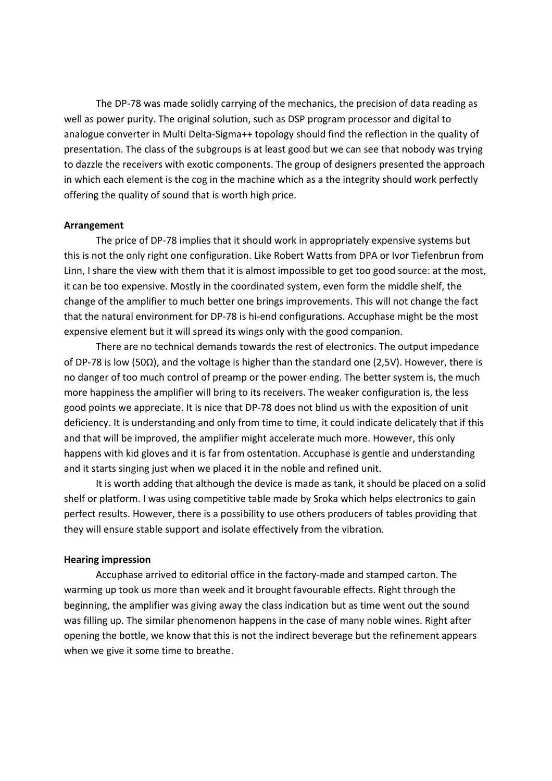The DP-78 was made solidly carrying of the mechanics, the precision of data reading as well as power purity. The original solution, such as DSP program processor and digital to analogue converter in Multi Delta‐Sigma++ topology should find the reflection in the quality of presentation. The class of the subgroups is at least good but we can see that nobody was trying to dazzle the receivers with exotic components. The group of designers presented the approach in which each element is the cog in the machine which as a the integrity should work perfectly offering the quality of sound that is worth high price.

#### **Arrangement**

The price of DP-78 implies that it should work in appropriately expensive systems but this is not the only right one configuration. Like Robert Watts from DPA or Ivor Tiefenbrun from Linn, I share the view with them that it is almost impossible to get too good source: at the most, it can be too expensive. Mostly in the coordinated system, even form the middle shelf, the change of the amplifier to much better one brings improvements. This will not change the fact that the natural environment for DP‐78 is hi‐end configurations. Accuphase might be the most expensive element but it will spread its wings only with the good companion.

There are no technical demands towards the rest of electronics. The output impedance of DP‐78 is low (50Ω), and the voltage is higher than the standard one (2,5V). However, there is no danger of too much control of preamp or the power ending. The better system is, the much more happiness the amplifier will bring to its receivers. The weaker configuration is, the less good points we appreciate. It is nice that DP‐78 does not blind us with the exposition of unit deficiency. It is understanding and only from time to time, it could indicate delicately that if this and that will be improved, the amplifier might accelerate much more. However, this only happens with kid gloves and it is far from ostentation. Accuphase is gentle and understanding and it starts singing just when we placed it in the noble and refined unit.

It is worth adding that although the device is made as tank, it should be placed on a solid shelf or platform. I was using competitive table made by Sroka which helps electronics to gain perfect results. However, there is a possibility to use others producers of tables providing that they will ensure stable support and isolate effectively from the vibration.

#### **Hearing impression**

Accuphase arrived to editorial office in the factory‐made and stamped carton. The warming up took us more than week and it brought favourable effects. Right through the beginning, the amplifier was giving away the class indication but as time went out the sound was filling up. The similar phenomenon happens in the case of many noble wines. Right after opening the bottle, we know that this is not the indirect beverage but the refinement appears when we give it some time to breathe.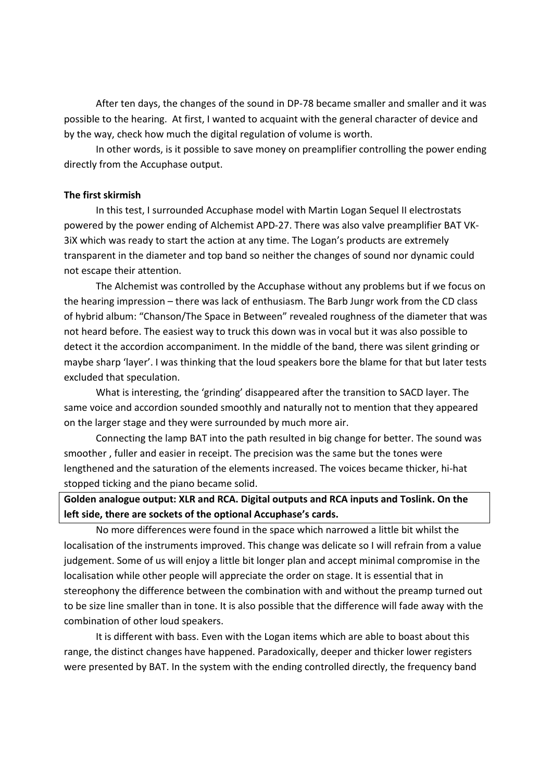After ten days, the changes of the sound in DP-78 became smaller and smaller and it was possible to the hearing. At first, I wanted to acquaint with the general character of device and by the way, check how much the digital regulation of volume is worth.

In other words, is it possible to save money on preamplifier controlling the power ending directly from the Accuphase output.

#### **The first skirmish**

In this test, I surrounded Accuphase model with Martin Logan Sequel II electrostats powered by the power ending of Alchemist APD‐27. There was also valve preamplifier BAT VK‐ 3iX which was ready to start the action at any time. The Logan's products are extremely transparent in the diameter and top band so neither the changes of sound nor dynamic could not escape their attention.

The Alchemist was controlled by the Accuphase without any problems but if we focus on the hearing impression – there was lack of enthusiasm. The Barb Jungr work from the CD class of hybrid album: "Chanson/The Space in Between" revealed roughness of the diameter that was not heard before. The easiest way to truck this down was in vocal but it was also possible to detect it the accordion accompaniment. In the middle of the band, there was silent grinding or maybe sharp 'layer'. I was thinking that the loud speakers bore the blame for that but later tests excluded that speculation.

What is interesting, the 'grinding' disappeared after the transition to SACD layer. The same voice and accordion sounded smoothly and naturally not to mention that they appeared on the larger stage and they were surrounded by much more air.

Connecting the lamp BAT into the path resulted in big change for better. The sound was smoother , fuller and easier in receipt. The precision was the same but the tones were lengthened and the saturation of the elements increased. The voices became thicker, hi‐hat stopped ticking and the piano became solid.

**Golden analogue output: XLR and RCA. Digital outputs and RCA inputs and Toslink. On the left side, there are sockets of the optional Accuphase's cards.** 

No more differences were found in the space which narrowed a little bit whilst the localisation of the instruments improved. This change was delicate so I will refrain from a value judgement. Some of us will enjoy a little bit longer plan and accept minimal compromise in the localisation while other people will appreciate the order on stage. It is essential that in stereophony the difference between the combination with and without the preamp turned out to be size line smaller than in tone. It is also possible that the difference will fade away with the combination of other loud speakers.

It is different with bass. Even with the Logan items which are able to boast about this range, the distinct changes have happened. Paradoxically, deeper and thicker lower registers were presented by BAT. In the system with the ending controlled directly, the frequency band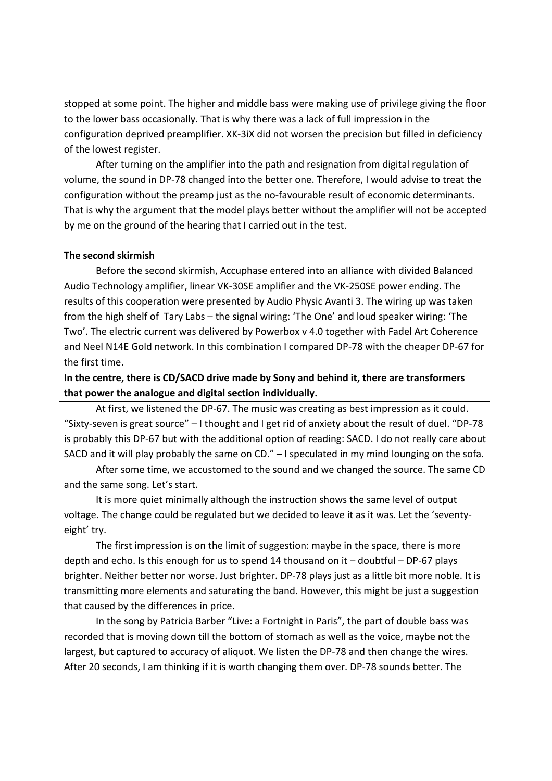stopped at some point. The higher and middle bass were making use of privilege giving the floor to the lower bass occasionally. That is why there was a lack of full impression in the configuration deprived preamplifier. XK‐3iX did not worsen the precision but filled in deficiency of the lowest register.

After turning on the amplifier into the path and resignation from digital regulation of volume, the sound in DP‐78 changed into the better one. Therefore, I would advise to treat the configuration without the preamp just as the no‐favourable result of economic determinants. That is why the argument that the model plays better without the amplifier will not be accepted by me on the ground of the hearing that I carried out in the test.

#### **The second skirmish**

Before the second skirmish, Accuphase entered into an alliance with divided Balanced Audio Technology amplifier, linear VK‐30SE amplifier and the VK‐250SE power ending. The results of this cooperation were presented by Audio Physic Avanti 3. The wiring up was taken from the high shelf of Tary Labs – the signal wiring: 'The One' and loud speaker wiring: 'The Two'. The electric current was delivered by Powerbox v 4.0 together with Fadel Art Coherence and Neel N14E Gold network. In this combination I compared DP‐78 with the cheaper DP‐67 for the first time.

**In the centre, there is CD/SACD drive made by Sony and behind it, there are transformers that power the analogue and digital section individually.** 

At first, we listened the DP‐67. The music was creating as best impression as it could. "Sixty‐seven is great source" – I thought and I get rid of anxiety about the result of duel. "DP‐78 is probably this DP‐67 but with the additional option of reading: SACD. I do not really care about SACD and it will play probably the same on CD." – I speculated in my mind lounging on the sofa.

After some time, we accustomed to the sound and we changed the source. The same CD and the same song. Let's start.

It is more quiet minimally although the instruction shows the same level of output voltage. The change could be regulated but we decided to leave it as it was. Let the 'seventy‐ eight' try.

The first impression is on the limit of suggestion: maybe in the space, there is more depth and echo. Is this enough for us to spend 14 thousand on it – doubtful – DP‐67 plays brighter. Neither better nor worse. Just brighter. DP-78 plays just as a little bit more noble. It is transmitting more elements and saturating the band. However, this might be just a suggestion that caused by the differences in price.

In the song by Patricia Barber "Live: a Fortnight in Paris", the part of double bass was recorded that is moving down till the bottom of stomach as well as the voice, maybe not the largest, but captured to accuracy of aliquot. We listen the DP‐78 and then change the wires. After 20 seconds, I am thinking if it is worth changing them over. DP‐78 sounds better. The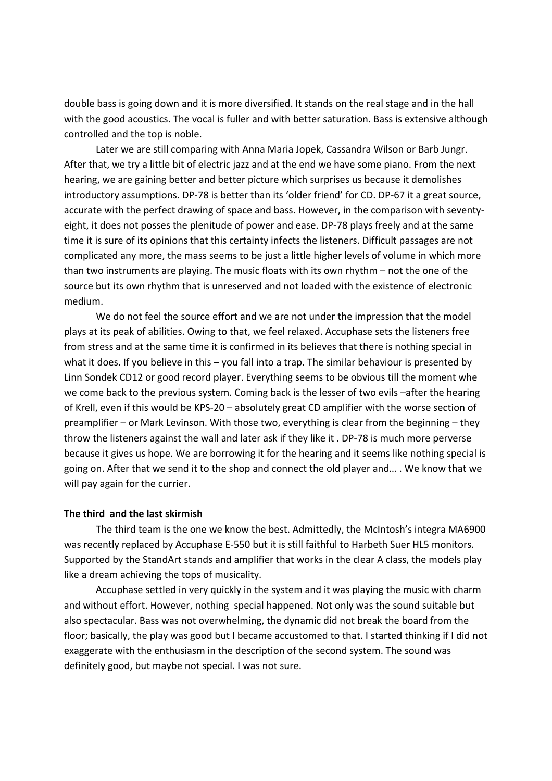double bass is going down and it is more diversified. It stands on the real stage and in the hall with the good acoustics. The vocal is fuller and with better saturation. Bass is extensive although controlled and the top is noble.

Later we are still comparing with Anna Maria Jopek, Cassandra Wilson or Barb Jungr. After that, we try a little bit of electric jazz and at the end we have some piano. From the next hearing, we are gaining better and better picture which surprises us because it demolishes introductory assumptions. DP‐78 is better than its 'older friend' for CD. DP‐67 it a great source, accurate with the perfect drawing of space and bass. However, in the comparison with seventy‐ eight, it does not posses the plenitude of power and ease. DP‐78 plays freely and at the same time it is sure of its opinions that this certainty infects the listeners. Difficult passages are not complicated any more, the mass seems to be just a little higher levels of volume in which more than two instruments are playing. The music floats with its own rhythm – not the one of the source but its own rhythm that is unreserved and not loaded with the existence of electronic medium.

We do not feel the source effort and we are not under the impression that the model plays at its peak of abilities. Owing to that, we feel relaxed. Accuphase sets the listeners free from stress and at the same time it is confirmed in its believes that there is nothing special in what it does. If you believe in this – you fall into a trap. The similar behaviour is presented by Linn Sondek CD12 or good record player. Everything seems to be obvious till the moment whe we come back to the previous system. Coming back is the lesser of two evils –after the hearing of Krell, even if this would be KPS‐20 – absolutely great CD amplifier with the worse section of preamplifier – or Mark Levinson. With those two, everything is clear from the beginning – they throw the listeners against the wall and later ask if they like it . DP‐78 is much more perverse because it gives us hope. We are borrowing it for the hearing and it seems like nothing special is going on. After that we send it to the shop and connect the old player and… . We know that we will pay again for the currier.

#### **The third and the last skirmish**

The third team is the one we know the best. Admittedly, the McIntosh's integra MA6900 was recently replaced by Accuphase E‐550 but it is still faithful to Harbeth Suer HL5 monitors. Supported by the StandArt stands and amplifier that works in the clear A class, the models play like a dream achieving the tops of musicality.

Accuphase settled in very quickly in the system and it was playing the music with charm and without effort. However, nothing special happened. Not only was the sound suitable but also spectacular. Bass was not overwhelming, the dynamic did not break the board from the floor; basically, the play was good but I became accustomed to that. I started thinking if I did not exaggerate with the enthusiasm in the description of the second system. The sound was definitely good, but maybe not special. I was not sure.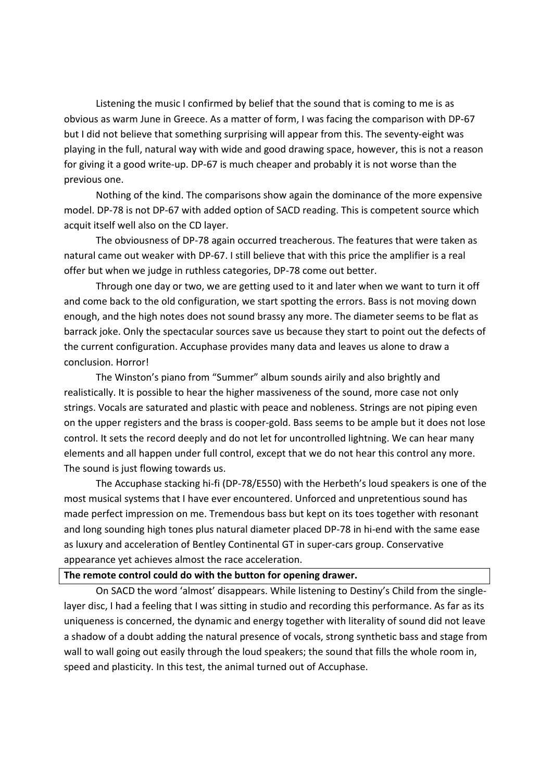Listening the music I confirmed by belief that the sound that is coming to me is as obvious as warm June in Greece. As a matter of form, I was facing the comparison with DP‐67 but I did not believe that something surprising will appear from this. The seventy-eight was playing in the full, natural way with wide and good drawing space, however, this is not a reason for giving it a good write‐up. DP‐67 is much cheaper and probably it is not worse than the previous one.

Nothing of the kind. The comparisons show again the dominance of the more expensive model. DP‐78 is not DP‐67 with added option of SACD reading. This is competent source which acquit itself well also on the CD layer.

The obviousness of DP‐78 again occurred treacherous. The features that were taken as natural came out weaker with DP‐67. I still believe that with this price the amplifier is a real offer but when we judge in ruthless categories, DP‐78 come out better.

Through one day or two, we are getting used to it and later when we want to turn it off and come back to the old configuration, we start spotting the errors. Bass is not moving down enough, and the high notes does not sound brassy any more. The diameter seems to be flat as barrack joke. Only the spectacular sources save us because they start to point out the defects of the current configuration. Accuphase provides many data and leaves us alone to draw a conclusion. Horror!

The Winston's piano from "Summer" album sounds airily and also brightly and realistically. It is possible to hear the higher massiveness of the sound, more case not only strings. Vocals are saturated and plastic with peace and nobleness. Strings are not piping even on the upper registers and the brass is cooper‐gold. Bass seems to be ample but it does not lose control. It sets the record deeply and do not let for uncontrolled lightning. We can hear many elements and all happen under full control, except that we do not hear this control any more. The sound is just flowing towards us.

The Accuphase stacking hi‐fi (DP‐78/E550) with the Herbeth's loud speakers is one of the most musical systems that I have ever encountered. Unforced and unpretentious sound has made perfect impression on me. Tremendous bass but kept on its toes together with resonant and long sounding high tones plus natural diameter placed DP-78 in hi-end with the same ease as luxury and acceleration of Bentley Continental GT in super-cars group. Conservative appearance yet achieves almost the race acceleration.

### **The remote control could do with the button for opening drawer.**

 On SACD the word 'almost' disappears. While listening to Destiny's Child from the single‐ layer disc, I had a feeling that I was sitting in studio and recording this performance. As far as its uniqueness is concerned, the dynamic and energy together with literality of sound did not leave a shadow of a doubt adding the natural presence of vocals, strong synthetic bass and stage from wall to wall going out easily through the loud speakers; the sound that fills the whole room in, speed and plasticity. In this test, the animal turned out of Accuphase.